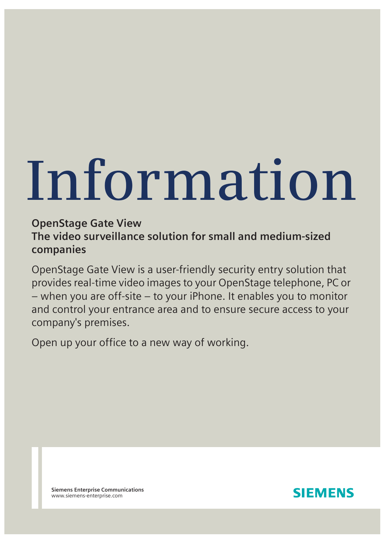# **Information**

# **OpenStage Gate View The video surveillance solution for small and medium-sized companies**

OpenStage Gate View is a user-friendly security entry solution that provides real-time video images to your OpenStage telephone, PC or – when you are off-site – to your iPhone. It enables you to monitor and control your entrance area and to ensure secure access to your company's premises.

Open up your office to a new way of working.

**Siemens Enterprise Communications** www.siemens-enterprise.com

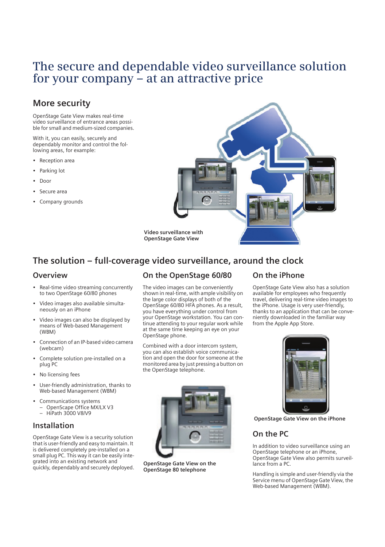# **The secure and dependable video surveillance solution for your company – at an attractive price**

# **More security**

OpenStage Gate View makes real-time video surveillance of entrance areas possible for small and medium-sized companies.

With it, you can easily, securely and dependably monitor and control the following areas, for example:

- Reception area
- Parking lot
- Door
- Secure area
- Company grounds



**The solution – full-coverage video surveillance, around the clock**

#### **Overview**

- Real-time video streaming concurrently to two OpenStage 60/80 phones
- Video images also available simultaneously on an iPhone
- Video images can also be displayed by means of Web-based Management (WBM)
- Connection of an IP-based video camera (webcam)
- Complete solution pre-installed on a plug PC
- No licensing fees
- User-friendly administration, thanks to Web-based Management (WBM)
- Communications systems – OpenScape Office MX/LX V3 – HiPath 3000 V8/V9

## **Installation**

OpenStage Gate View is a security solution that is user-friendly and easy to maintain. It is delivered completely pre-installed on a small plug PC. This way it can be easily integrated into an existing network and quickly, dependably and securely deployed.

## **On the OpenStage 60/80**

The video images can be conveniently shown in real-time, with ample visibility on the large color displays of both of the OpenStage 60/80 HFA phones. As a result, you have everything under control from your OpenStage workstation. You can continue attending to your regular work while at the same time keeping an eye on your OpenStage phone.

Combined with a door intercom system, you can also establish voice communication and open the door for someone at the monitored area by just pressing a button on the OpenStage telephone.



**OpenStage Gate View on the OpenStage 80 telephone**

## **On the iPhone**

OpenStage Gate View also has a solution available for employees who frequently travel, delivering real-time video images to the iPhone. Usage is very user-friendly, thanks to an application that can be conveniently downloaded in the familiar way from the Apple App Store.



**OpenStage Gate View on the iPhone**

## **On the PC**

In addition to video surveillance using an OpenStage telephone or an iPhone, OpenStage Gate View also permits surveillance from a PC.

Handling is simple and user-friendly via the Service menu of OpenStage Gate View, the Web-based Management (WBM).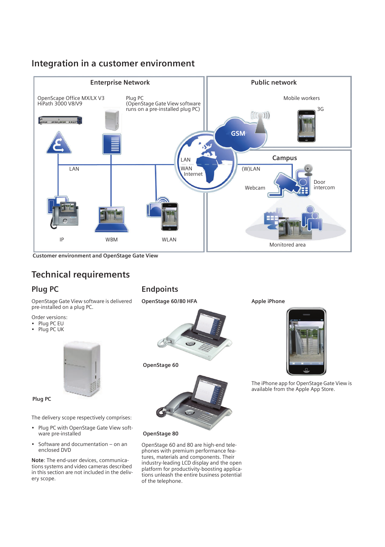# **Integration in a customer environment**



**Customer environment and OpenStage Gate View** 

# **Technical requirements**

# **Plug PC**

OpenStage Gate View software is delivered pre-installed on a plug PC.

- Order versions:
- Plug PC EU
- Plug PC UK



**Plug PC**

The delivery scope respectively comprises:

- Plug PC with OpenStage Gate View software pre-installed
- Software and documentation on an enclosed DVD

**Note**: The end-user devices, communications systems and video cameras described in this section are not included in the delivery scope.

# **Endpoints**

**OpenStage 60/80 HFA**



**OpenStage 60**



**OpenStage 80**

OpenStage 60 and 80 are high-end telephones with premium performance features, materials and components. Their industry-leading LCD display and the open platform for productivity-boosting applications unleash the entire business potential of the telephone.

**Apple iPhone**



The iPhone app for OpenStage Gate View is available from the Apple App Store.